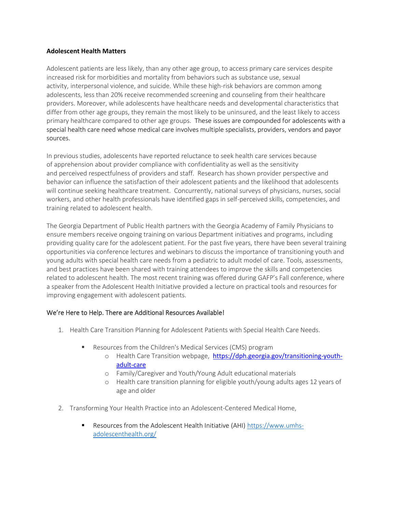## **Adolescent Health Matters**

Adolescent patients are less likely, than any other age group, to access primary care services despite increased risk for morbidities and mortality from behaviors such as substance use, sexual activity, interpersonal violence, and suicide. While these high-risk behaviors are common among adolescents, less than 20% receive recommended screening and counseling from their healthcare providers. Moreover, while adolescents have healthcare needs and developmental characteristics that differ from other age groups, they remain the most likely to be uninsured, and the least likely to access primary healthcare compared to other age groups. These issues are compounded for adolescents with a special health care need whose medical care involves multiple specialists, providers, vendors and payor sources.

In previous studies, adolescents have reported reluctance to seek health care services because of apprehension about provider compliance with confidentiality as well as the sensitivity and perceived respectfulness of providers and staff.  Research has shown provider perspective and behavior can influence the satisfaction of their adolescent patients and the likelihood that adolescents will continue seeking healthcare treatment.  Concurrently, national surveys of physicians, nurses, social workers, and other health professionals have identified gaps in self-perceived skills, competencies, and training related to adolescent health.

The Georgia Department of Public Health partners with the Georgia Academy of Family Physicians to ensure members receive ongoing training on various Department initiatives and programs, including providing quality care for the adolescent patient. For the past five years, there have been several training opportunities via conference lectures and webinars to discuss the importance of transitioning youth and young adults with special health care needs from a pediatric to adult model of care. Tools, assessments, and best practices have been shared with training attendees to improve the skills and competencies related to adolescent health. The most recent training was offered during GAFP's Fall conference, where a speaker from the Adolescent Health Initiative provided a lecture on practical tools and resources for improving engagement with adolescent patients.

## We're Here to Help. There are Additional Resources Available!

- 1. Health Care Transition Planning for Adolescent Patients with Special Health Care Needs.
	- Resources from the Children's Medical Services (CMS) program
		- o Health Care Transition webpage, [https://dph.georgia.gov/transitioning-youth](https://dph.georgia.gov/transitioning-youth-adult-care)[adult-care](https://dph.georgia.gov/transitioning-youth-adult-care)
		- o Family/Caregiver and Youth/Young Adult educational materials
		- o Health care transition planning for eligible youth/young adults ages 12 years of age and older
- 2. Transforming Your Health Practice into an Adolescent-Centered Medical Home,
	- Resources from the Adolescent Health Initiative (AHI) [https://www.umhs](https://www.umhs-adolescenthealth.org/)[adolescenthealth.org/](https://www.umhs-adolescenthealth.org/)